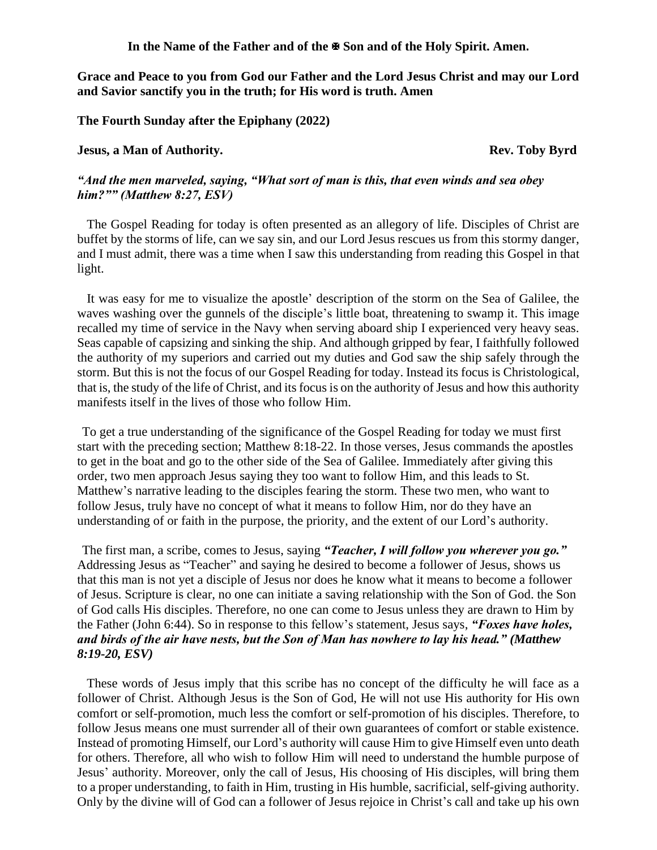**In the Name of the Father and of the Son and of the Holy Spirit. Amen.**

**Grace and Peace to you from God our Father and the Lord Jesus Christ and may our Lord and Savior sanctify you in the truth; for His word is truth. Amen**

**The Fourth Sunday after the Epiphany (2022)**

## **Jesus, a Man of Authority. Rev. Toby Byrd**

## *"And the men marveled, saying, "What sort of man is this, that even winds and sea obey him?"" (Matthew 8:27, ESV)*

The Gospel Reading for today is often presented as an allegory of life. Disciples of Christ are buffet by the storms of life, can we say sin, and our Lord Jesus rescues us from this stormy danger, and I must admit, there was a time when I saw this understanding from reading this Gospel in that light.

It was easy for me to visualize the apostle' description of the storm on the Sea of Galilee, the waves washing over the gunnels of the disciple's little boat, threatening to swamp it. This image recalled my time of service in the Navy when serving aboard ship I experienced very heavy seas. Seas capable of capsizing and sinking the ship. And although gripped by fear, I faithfully followed the authority of my superiors and carried out my duties and God saw the ship safely through the storm. But this is not the focus of our Gospel Reading for today. Instead its focus is Christological, that is, the study of the life of Christ, and its focus is on the authority of Jesus and how this authority manifests itself in the lives of those who follow Him.

To get a true understanding of the significance of the Gospel Reading for today we must first start with the preceding section; Matthew 8:18-22. In those verses, Jesus commands the apostles to get in the boat and go to the other side of the Sea of Galilee. Immediately after giving this order, two men approach Jesus saying they too want to follow Him, and this leads to St. Matthew's narrative leading to the disciples fearing the storm. These two men, who want to follow Jesus, truly have no concept of what it means to follow Him, nor do they have an understanding of or faith in the purpose, the priority, and the extent of our Lord's authority.

The first man, a scribe, comes to Jesus, saying *"Teacher, I will follow you wherever you go."* Addressing Jesus as "Teacher" and saying he desired to become a follower of Jesus, shows us that this man is not yet a disciple of Jesus nor does he know what it means to become a follower of Jesus. Scripture is clear, no one can initiate a saving relationship with the Son of God. the Son of God calls His disciples. Therefore, no one can come to Jesus unless they are drawn to Him by the Father (John 6:44). So in response to this fellow's statement, Jesus says, *"Foxes have holes, and birds of the air have nests, but the Son of Man has nowhere to lay his head." (Matthew 8:19-20, ESV)*

These words of Jesus imply that this scribe has no concept of the difficulty he will face as a follower of Christ. Although Jesus is the Son of God, He will not use His authority for His own comfort or self-promotion, much less the comfort or self-promotion of his disciples. Therefore, to follow Jesus means one must surrender all of their own guarantees of comfort or stable existence. Instead of promoting Himself, our Lord's authority will cause Him to give Himself even unto death for others. Therefore, all who wish to follow Him will need to understand the humble purpose of Jesus' authority. Moreover, only the call of Jesus, His choosing of His disciples, will bring them to a proper understanding, to faith in Him, trusting in His humble, sacrificial, self-giving authority. Only by the divine will of God can a follower of Jesus rejoice in Christ's call and take up his own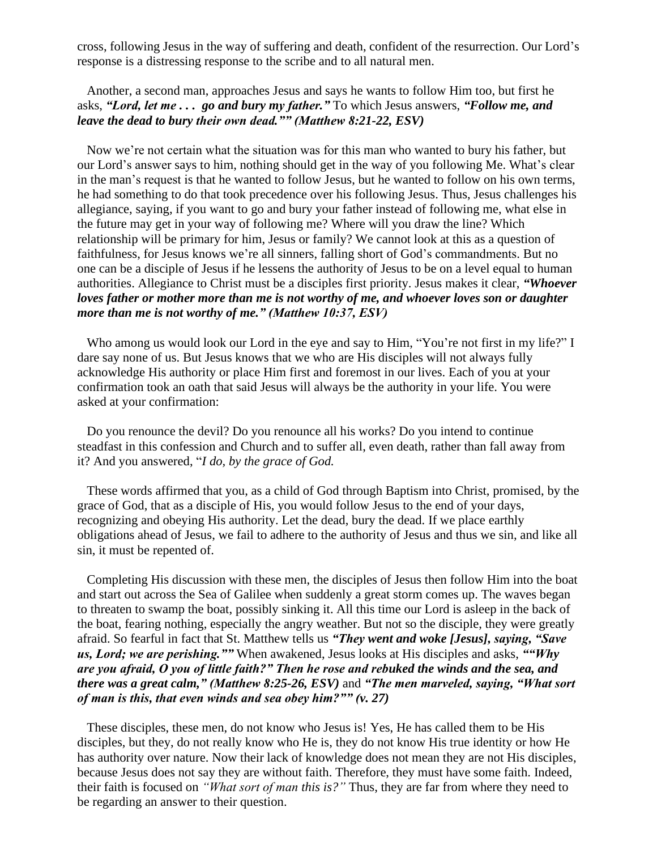cross, following Jesus in the way of suffering and death, confident of the resurrection. Our Lord's response is a distressing response to the scribe and to all natural men.

Another, a second man, approaches Jesus and says he wants to follow Him too, but first he asks, *"Lord, let me . . . go and bury my father."* To which Jesus answers, *"Follow me, and leave the dead to bury their own dead."" (Matthew 8:21-22, ESV)* 

Now we're not certain what the situation was for this man who wanted to bury his father, but our Lord's answer says to him, nothing should get in the way of you following Me. What's clear in the man's request is that he wanted to follow Jesus, but he wanted to follow on his own terms, he had something to do that took precedence over his following Jesus. Thus, Jesus challenges his allegiance, saying, if you want to go and bury your father instead of following me, what else in the future may get in your way of following me? Where will you draw the line? Which relationship will be primary for him, Jesus or family? We cannot look at this as a question of faithfulness, for Jesus knows we're all sinners, falling short of God's commandments. But no one can be a disciple of Jesus if he lessens the authority of Jesus to be on a level equal to human authorities. Allegiance to Christ must be a disciples first priority. Jesus makes it clear, *"Whoever loves father or mother more than me is not worthy of me, and whoever loves son or daughter more than me is not worthy of me." (Matthew 10:37, ESV)*

Who among us would look our Lord in the eye and say to Him, "You're not first in my life?" I dare say none of us. But Jesus knows that we who are His disciples will not always fully acknowledge His authority or place Him first and foremost in our lives. Each of you at your confirmation took an oath that said Jesus will always be the authority in your life. You were asked at your confirmation:

Do you renounce the devil? Do you renounce all his works? Do you intend to continue steadfast in this confession and Church and to suffer all, even death, rather than fall away from it? And you answered, "*I do, by the grace of God.*

These words affirmed that you, as a child of God through Baptism into Christ, promised, by the grace of God, that as a disciple of His, you would follow Jesus to the end of your days, recognizing and obeying His authority. Let the dead, bury the dead. If we place earthly obligations ahead of Jesus, we fail to adhere to the authority of Jesus and thus we sin, and like all sin, it must be repented of.

Completing His discussion with these men, the disciples of Jesus then follow Him into the boat and start out across the Sea of Galilee when suddenly a great storm comes up. The waves began to threaten to swamp the boat, possibly sinking it. All this time our Lord is asleep in the back of the boat, fearing nothing, especially the angry weather. But not so the disciple, they were greatly afraid. So fearful in fact that St. Matthew tells us *"They went and woke [Jesus], saying, "Save us, Lord; we are perishing.""* When awakened, Jesus looks at His disciples and asks, *""Why are you afraid, O you of little faith?" Then he rose and rebuked the winds and the sea, and there was a great calm," (Matthew 8:25-26, ESV)* and *"The men marveled, saying, "What sort of man is this, that even winds and sea obey him?"" (v. 27)* 

These disciples, these men, do not know who Jesus is! Yes, He has called them to be His disciples, but they, do not really know who He is, they do not know His true identity or how He has authority over nature. Now their lack of knowledge does not mean they are not His disciples, because Jesus does not say they are without faith. Therefore, they must have some faith. Indeed, their faith is focused on *"What sort of man this is?"* Thus, they are far from where they need to be regarding an answer to their question.